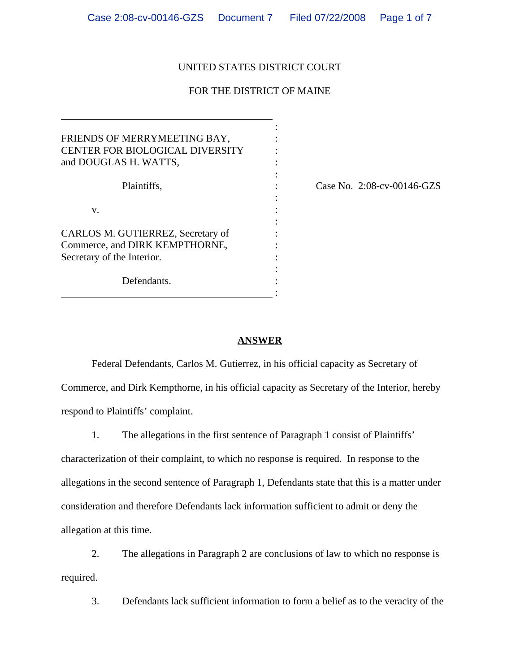#### UNITED STATES DISTRICT COURT

## FOR THE DISTRICT OF MAINE

:

:

:

:

| FRIENDS OF MERRYMEETING BAY,<br>CENTER FOR BIOLOGICAL DIVERSITY<br>and DOUGLAS H. WATTS,          |  |
|---------------------------------------------------------------------------------------------------|--|
| Plaintiffs,                                                                                       |  |
| V.                                                                                                |  |
| CARLOS M. GUTIERREZ, Secretary of<br>Commerce, and DIRK KEMPTHORNE,<br>Secretary of the Interior. |  |
| Defendants.                                                                                       |  |

 $\overline{a}$ 

 $\text{Case No. } 2:08\text{-cv-}00146\text{-GZS}$ 

#### **ANSWER**

Federal Defendants, Carlos M. Gutierrez, in his official capacity as Secretary of Commerce, and Dirk Kempthorne, in his official capacity as Secretary of the Interior, hereby respond to Plaintiffs' complaint.

1. The allegations in the first sentence of Paragraph 1 consist of Plaintiffs' characterization of their complaint, to which no response is required. In response to the allegations in the second sentence of Paragraph 1, Defendants state that this is a matter under consideration and therefore Defendants lack information sufficient to admit or deny the allegation at this time.

2. The allegations in Paragraph 2 are conclusions of law to which no response is required.

3. Defendants lack sufficient information to form a belief as to the veracity of the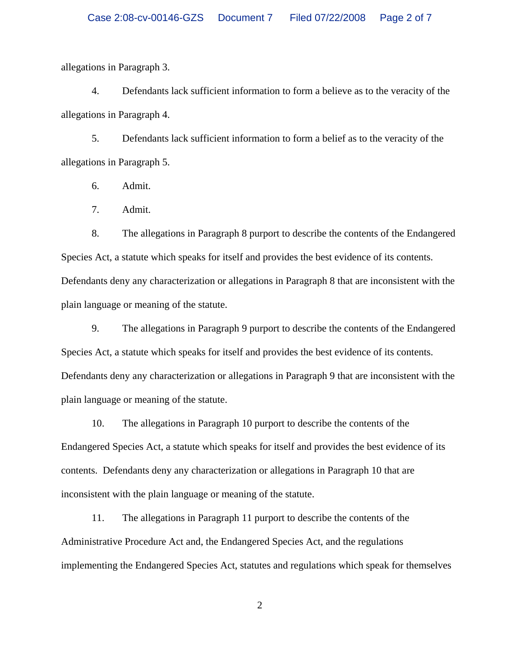allegations in Paragraph 3.

4. Defendants lack sufficient information to form a believe as to the veracity of the allegations in Paragraph 4.

5. Defendants lack sufficient information to form a belief as to the veracity of the allegations in Paragraph 5.

6. Admit.

7. Admit.

8. The allegations in Paragraph 8 purport to describe the contents of the Endangered Species Act, a statute which speaks for itself and provides the best evidence of its contents. Defendants deny any characterization or allegations in Paragraph 8 that are inconsistent with the plain language or meaning of the statute.

9. The allegations in Paragraph 9 purport to describe the contents of the Endangered Species Act, a statute which speaks for itself and provides the best evidence of its contents. Defendants deny any characterization or allegations in Paragraph 9 that are inconsistent with the plain language or meaning of the statute.

10. The allegations in Paragraph 10 purport to describe the contents of the Endangered Species Act, a statute which speaks for itself and provides the best evidence of its contents. Defendants deny any characterization or allegations in Paragraph 10 that are inconsistent with the plain language or meaning of the statute.

11. The allegations in Paragraph 11 purport to describe the contents of the Administrative Procedure Act and, the Endangered Species Act, and the regulations implementing the Endangered Species Act, statutes and regulations which speak for themselves

2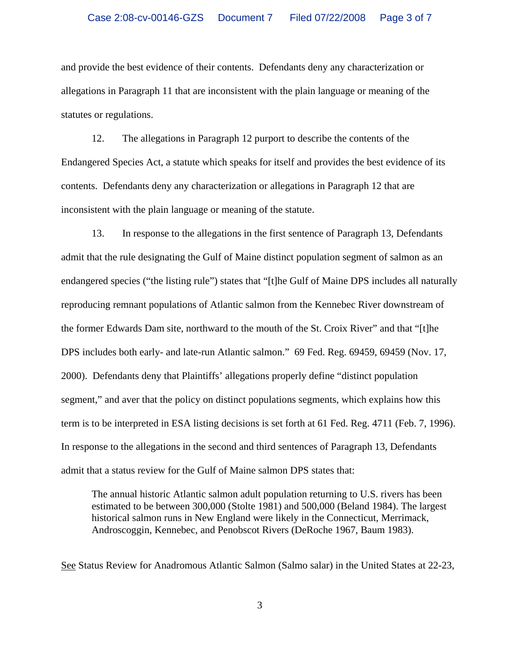and provide the best evidence of their contents. Defendants deny any characterization or allegations in Paragraph 11 that are inconsistent with the plain language or meaning of the statutes or regulations.

12. The allegations in Paragraph 12 purport to describe the contents of the Endangered Species Act, a statute which speaks for itself and provides the best evidence of its contents. Defendants deny any characterization or allegations in Paragraph 12 that are inconsistent with the plain language or meaning of the statute.

13. In response to the allegations in the first sentence of Paragraph 13, Defendants admit that the rule designating the Gulf of Maine distinct population segment of salmon as an endangered species ("the listing rule") states that "[t]he Gulf of Maine DPS includes all naturally reproducing remnant populations of Atlantic salmon from the Kennebec River downstream of the former Edwards Dam site, northward to the mouth of the St. Croix River" and that "[t]he DPS includes both early- and late-run Atlantic salmon." 69 Fed. Reg. 69459, 69459 (Nov. 17, 2000). Defendants deny that Plaintiffs' allegations properly define "distinct population segment," and aver that the policy on distinct populations segments, which explains how this term is to be interpreted in ESA listing decisions is set forth at 61 Fed. Reg. 4711 (Feb. 7, 1996). In response to the allegations in the second and third sentences of Paragraph 13, Defendants admit that a status review for the Gulf of Maine salmon DPS states that:

The annual historic Atlantic salmon adult population returning to U.S. rivers has been estimated to be between 300,000 (Stolte 1981) and 500,000 (Beland 1984). The largest historical salmon runs in New England were likely in the Connecticut, Merrimack, Androscoggin, Kennebec, and Penobscot Rivers (DeRoche 1967, Baum 1983).

See Status Review for Anadromous Atlantic Salmon (Salmo salar) in the United States at 22-23,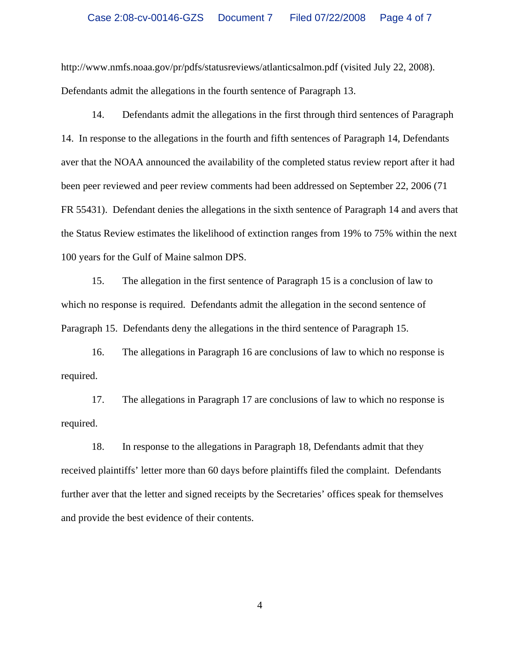http://www.nmfs.noaa.gov/pr/pdfs/statusreviews/atlanticsalmon.pdf (visited July 22, 2008). Defendants admit the allegations in the fourth sentence of Paragraph 13.

14. Defendants admit the allegations in the first through third sentences of Paragraph 14. In response to the allegations in the fourth and fifth sentences of Paragraph 14, Defendants aver that the NOAA announced the availability of the completed status review report after it had been peer reviewed and peer review comments had been addressed on September 22, 2006 (71 FR 55431). Defendant denies the allegations in the sixth sentence of Paragraph 14 and avers that the Status Review estimates the likelihood of extinction ranges from 19% to 75% within the next 100 years for the Gulf of Maine salmon DPS.

15. The allegation in the first sentence of Paragraph 15 is a conclusion of law to which no response is required. Defendants admit the allegation in the second sentence of Paragraph 15. Defendants deny the allegations in the third sentence of Paragraph 15.

16. The allegations in Paragraph 16 are conclusions of law to which no response is required.

17. The allegations in Paragraph 17 are conclusions of law to which no response is required.

18. In response to the allegations in Paragraph 18, Defendants admit that they received plaintiffs' letter more than 60 days before plaintiffs filed the complaint. Defendants further aver that the letter and signed receipts by the Secretaries' offices speak for themselves and provide the best evidence of their contents.

4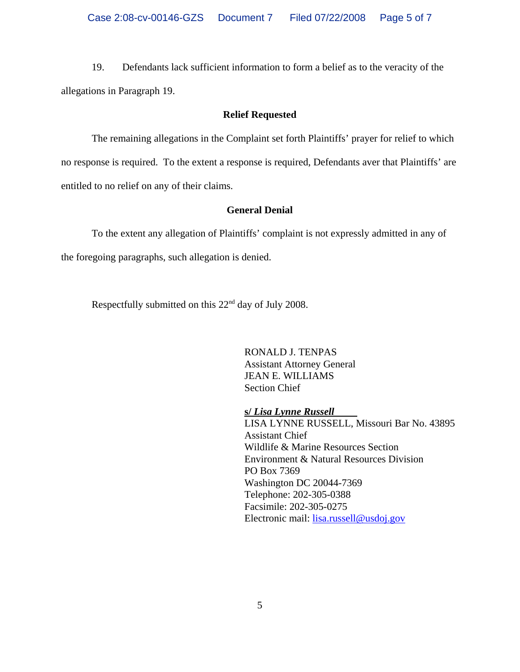19. Defendants lack sufficient information to form a belief as to the veracity of the allegations in Paragraph 19.

#### **Relief Requested**

The remaining allegations in the Complaint set forth Plaintiffs' prayer for relief to which no response is required. To the extent a response is required, Defendants aver that Plaintiffs' are entitled to no relief on any of their claims.

#### **General Denial**

To the extent any allegation of Plaintiffs' complaint is not expressly admitted in any of

the foregoing paragraphs, such allegation is denied.

Respectfully submitted on this 22nd day of July 2008.

RONALD J. TENPAS Assistant Attorney General JEAN E. WILLIAMS Section Chief

**s/** *Lisa Lynne Russell* 

LISA LYNNE RUSSELL, Missouri Bar No. 43895 Assistant Chief Wildlife & Marine Resources Section Environment & Natural Resources Division PO Box 7369 Washington DC 20044-7369 Telephone: 202-305-0388 Facsimile: 202-305-0275 Electronic mail: lisa.russell@usdoj.gov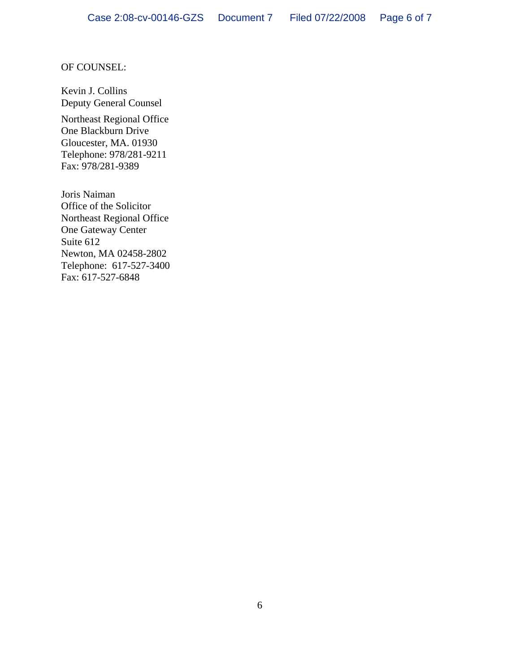#### OF COUNSEL:

Kevin J. Collins Deputy General Counsel

Northeast Regional Office One Blackburn Drive Gloucester, MA. 01930 Telephone: 978/281-9211 Fax: 978/281-9389

Joris Naiman Office of the Solicitor Northeast Regional Office One Gateway Center Suite 612 Newton, MA 02458-2802 Telephone: 617-527-3400 Fax: 617-527-6848